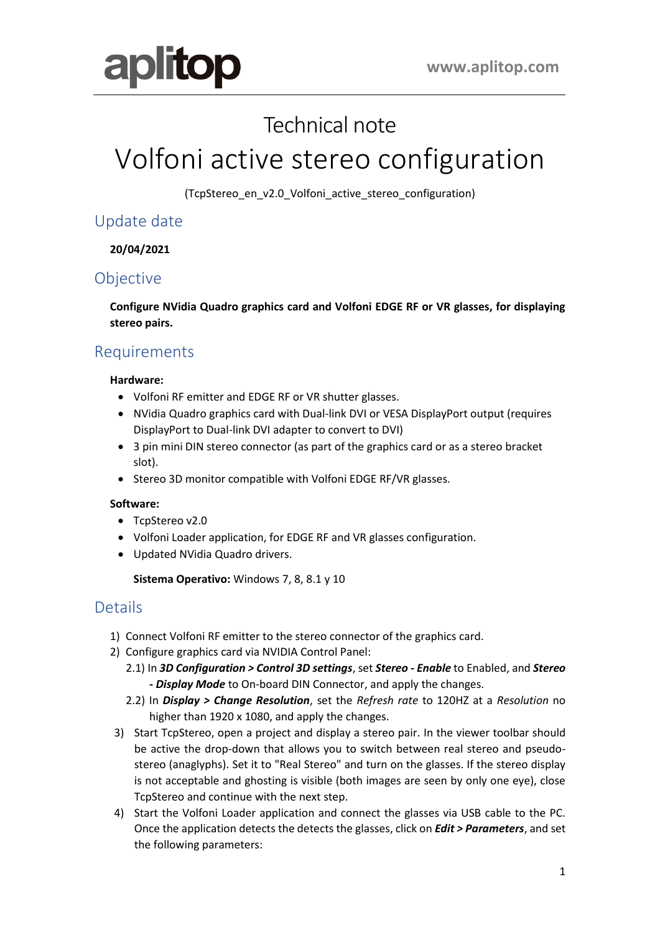

## Technical note

# Volfoni active stereo configuration

(TcpStereo\_en\_v2.0\_Volfoni\_active\_stereo\_configuration)

## Update date

**20/04/2021**

## Objective

**Configure NVidia Quadro graphics card and Volfoni EDGE RF or VR glasses, for displaying stereo pairs.**

## Requirements

#### **Hardware:**

- Volfoni RF emitter and EDGE RF or VR shutter glasses.
- NVidia Quadro graphics card with Dual-link DVI or VESA DisplayPort output (requires DisplayPort to Dual-link DVI adapter to convert to DVI)
- 3 pin mini DIN stereo connector (as part of the graphics card or as a stereo bracket slot).
- Stereo 3D monitor compatible with Volfoni EDGE RF/VR glasses.

#### **Software:**

- TcpStereo v2.0
- Volfoni Loader application, for EDGE RF and VR glasses configuration.
- Updated NVidia Quadro drivers.

**Sistema Operativo:** Windows 7, 8, 8.1 y 10

## **Details**

- 1) Connect Volfoni RF emitter to the stereo connector of the graphics card.
- 2) Configure graphics card via NVIDIA Control Panel:
	- 2.1) In *3D Configuration > Control 3D settings*, set *Stereo - Enable* to Enabled, and *Stereo - Display Mode* to On-board DIN Connector, and apply the changes.
	- 2.2) In *Display > Change Resolution*, set the *Refresh rate* to 120HZ at a *Resolution* no higher than 1920 x 1080, and apply the changes.
- 3) Start TcpStereo, open a project and display a stereo pair. In the viewer toolbar should be active the drop-down that allows you to switch between real stereo and pseudostereo (anaglyphs). Set it to "Real Stereo" and turn on the glasses. If the stereo display is not acceptable and ghosting is visible (both images are seen by only one eye), close TcpStereo and continue with the next step.
- 4) Start the Volfoni Loader application and connect the glasses via USB cable to the PC. Once the application detects the detects the glasses, click on *Edit > Parameters*, and set the following parameters: